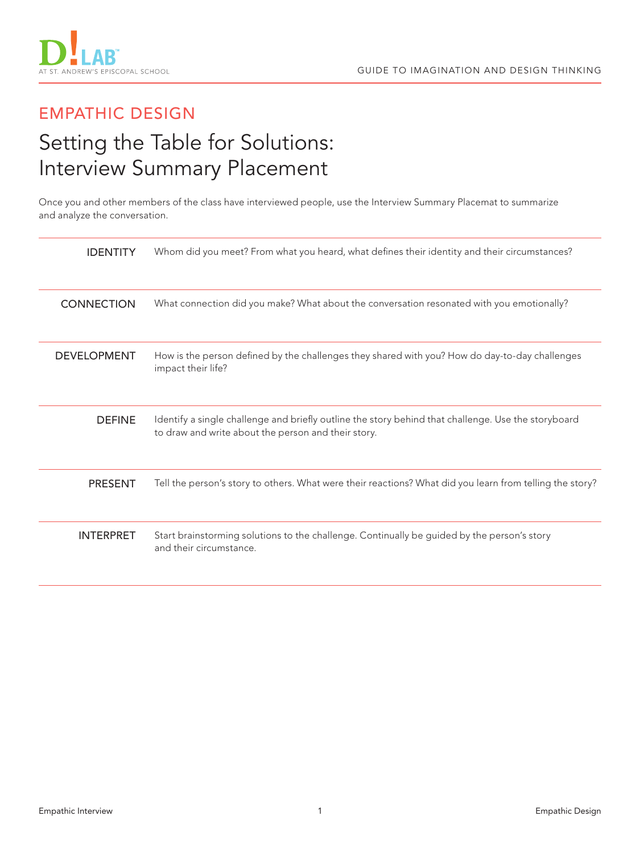

## EMPATHIC DESIGN

# Setting the Table for Solutions: Interview Summary Placement

Once you and other members of the class have interviewed people, use the Interview Summary Placemat to summarize and analyze the conversation.

| <b>IDENTITY</b>    | Whom did you meet? From what you heard, what defines their identity and their circumstances?                                                               |
|--------------------|------------------------------------------------------------------------------------------------------------------------------------------------------------|
| <b>CONNECTION</b>  | What connection did you make? What about the conversation resonated with you emotionally?                                                                  |
| <b>DEVELOPMENT</b> | How is the person defined by the challenges they shared with you? How do day-to-day challenges<br>impact their life?                                       |
| <b>DEFINE</b>      | Identify a single challenge and briefly outline the story behind that challenge. Use the storyboard<br>to draw and write about the person and their story. |
| <b>PRESENT</b>     | Tell the person's story to others. What were their reactions? What did you learn from telling the story?                                                   |
| <b>INTERPRET</b>   | Start brainstorming solutions to the challenge. Continually be guided by the person's story<br>and their circumstance.                                     |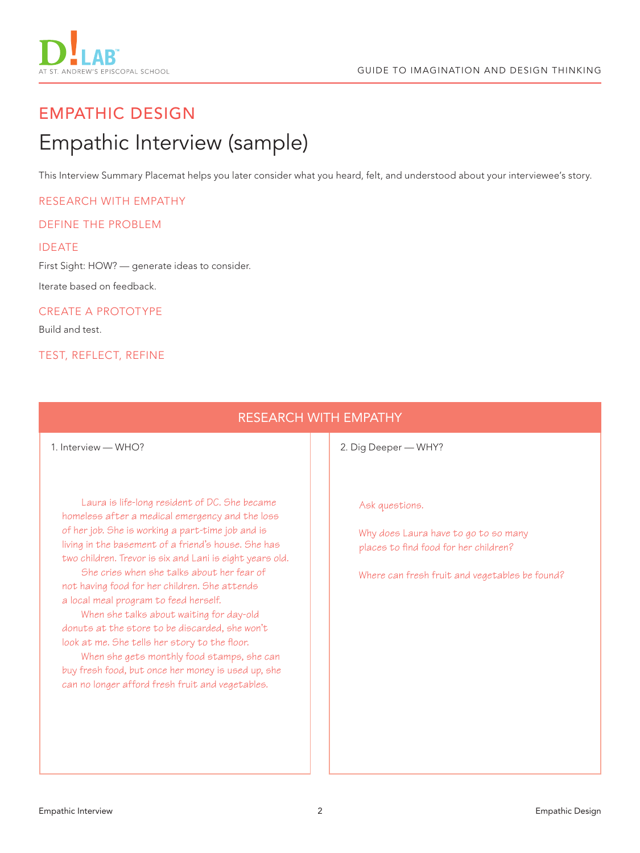

# EMPATHIC DESIGN Empathic Interview (sample)

This Interview Summary Placemat helps you later consider what you heard, felt, and understood about your interviewee's story.

#### RESEARCH WITH EMPATHY

#### DEFINE THE PROBLEM

#### IDEATE

First Sight: HOW? — generate ideas to consider.

Iterate based on feedback.

#### CREATE A PROTOTYPE

Build and test.

#### TEST, REFLECT, REFINE

## RESEARCH WITH EMPATHY

Laura is life-long resident of DC. She became homeless after a medical emergency and the loss of her job. She is working a part-time job and is living in the basement of a friend's house. She has two children. Trevor is six and Lani is eight years old.

She cries when she talks about her fear of not having food for her children. She attends a local meal program to feed herself.

When she talks about waiting for day-old donuts at the store to be discarded, she won't look at me. She tells her story to the floor.

When she gets monthly food stamps, she can buy fresh food, but once her money is used up, she can no longer afford fresh fruit and vegetables.

1. Interview — WHO? **2. Dig Deeper — WHY?** 

Ask questions.

Why does Laura have to go to so many places to find food for her children?

Where can fresh fruit and vegetables be found?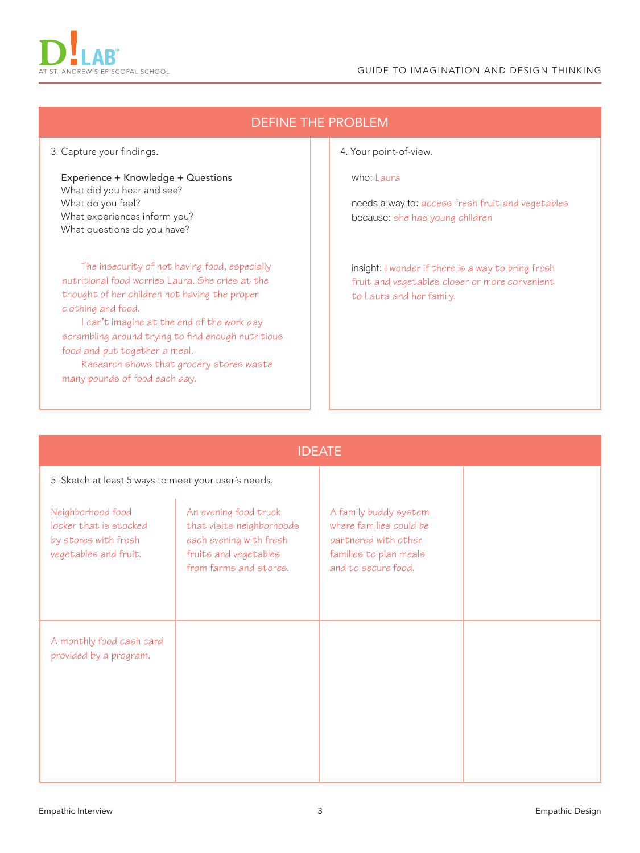

needs a way to: access fresh fruit and vegetables

insight: I wonder if there is a way to bring fresh

because: she has young children

| nutritional food worries Laura. She cries at the<br>thought of her children not having the proper<br>clothing and food.<br>I can't imagine at the end of the work day<br>scrambling around trying to find enough nutritious<br>food and put together a meal.<br>Research shows that grocery stores waste<br>many pounds of food each day. |                                                                                                                                  | fruit and vegetables closer or more convenient<br>to Laura and her family.                                                |  |  |  |  |  |
|-------------------------------------------------------------------------------------------------------------------------------------------------------------------------------------------------------------------------------------------------------------------------------------------------------------------------------------------|----------------------------------------------------------------------------------------------------------------------------------|---------------------------------------------------------------------------------------------------------------------------|--|--|--|--|--|
|                                                                                                                                                                                                                                                                                                                                           |                                                                                                                                  |                                                                                                                           |  |  |  |  |  |
| <b>IDEATE</b><br>5. Sketch at least 5 ways to meet your user's needs.                                                                                                                                                                                                                                                                     |                                                                                                                                  |                                                                                                                           |  |  |  |  |  |
|                                                                                                                                                                                                                                                                                                                                           |                                                                                                                                  |                                                                                                                           |  |  |  |  |  |
| Neighborhood food<br>locker that is stocked<br>by stores with fresh<br>vegetables and fruit.                                                                                                                                                                                                                                              | An evening food truck<br>that visits neighborhoods<br>each evening with fresh<br>fruits and vegetables<br>from farms and stores. | A family buddy system<br>where families could be<br>partnered with other<br>families to plan meals<br>and to secure food. |  |  |  |  |  |
| A monthly food cash card<br>provided by a program.                                                                                                                                                                                                                                                                                        |                                                                                                                                  |                                                                                                                           |  |  |  |  |  |

### DEFINE THE PROBLEM

4. Your point-of-view.

who: Laura

What do you feel?

What did you hear and see?

What experiences inform you? What questions do you have?

Experience + Knowledge + Questions

The insecurity of not having food, especially

Empathic Interview Empathic Design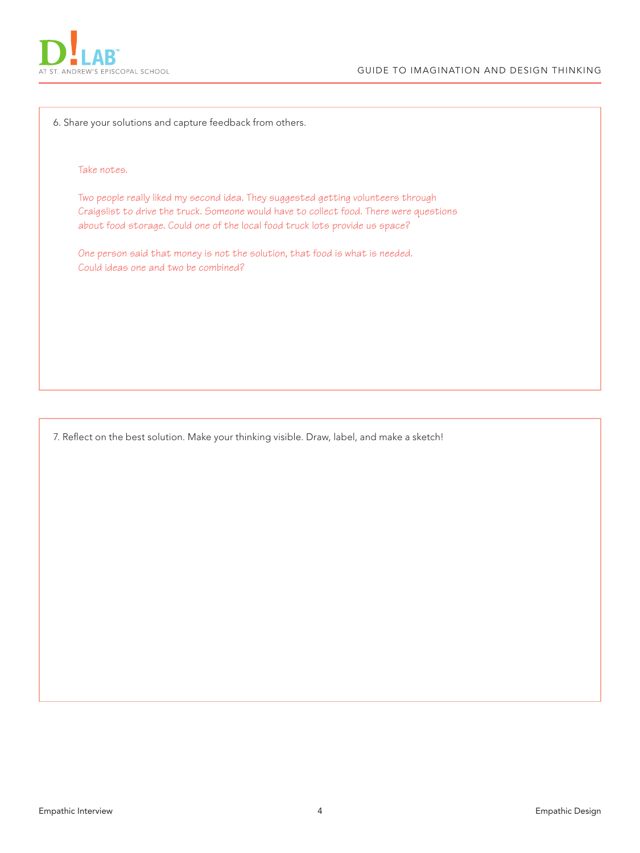

6. Share your solutions and capture feedback from others.

#### Take notes.

Two people really liked my second idea. They suggested getting volunteers through Craigslist to drive the truck. Someone would have to collect food. There were questions about food storage. Could one of the local food truck lots provide us space?

One person said that money is not the solution, that food is what is needed. Could ideas one and two be combined?

7. Reflect on the best solution. Make your thinking visible. Draw, label, and make a sketch!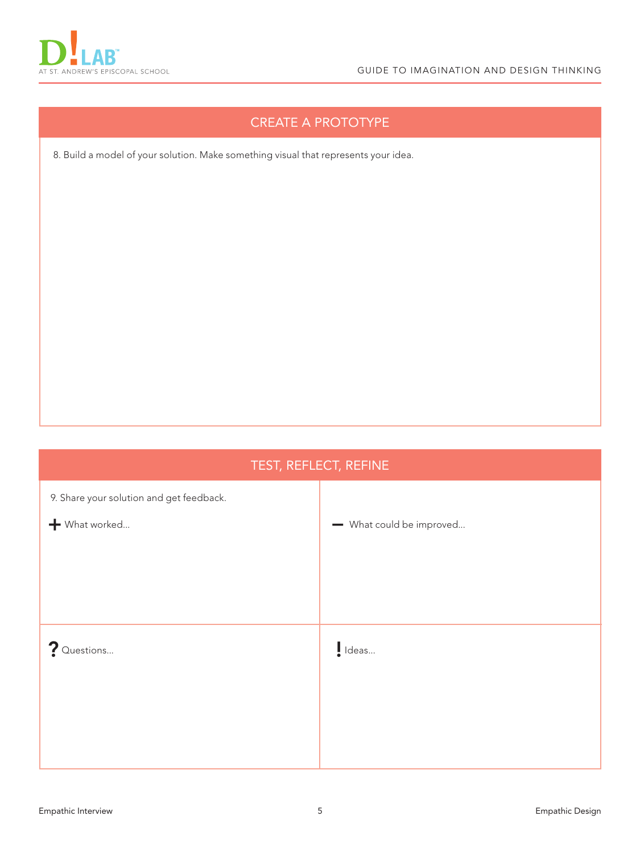

## CREATE A PROTOTYPE

8. Build a model of your solution. Make something visual that represents your idea.

# TEST, REFLECT, REFINE 9. Share your solution and get feedback.  $+$  What worked... ? Questions... – What could be improved... I Ideas...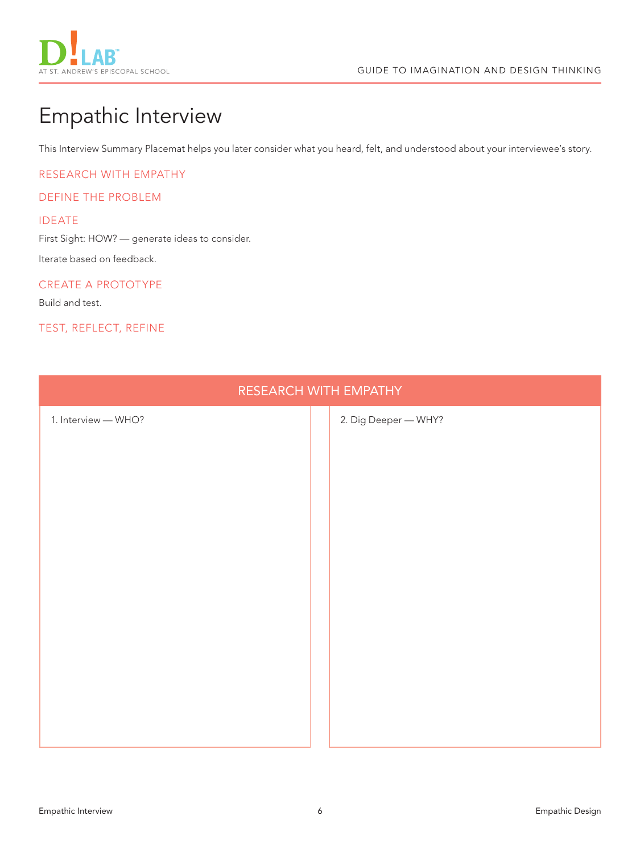

# Empathic Interview

This Interview Summary Placemat helps you later consider what you heard, felt, and understood about your interviewee's story.

RESEARCH WITH EMPATHY

#### DEFINE THE PROBLEM

#### IDEATE

First Sight: HOW? — generate ideas to consider.

Iterate based on feedback.

#### CREATE A PROTOTYPE

Build and test.

#### TEST, REFLECT, REFINE

| RESEARCH WITH EMPATHY |  |                      |  |  |  |  |
|-----------------------|--|----------------------|--|--|--|--|
| 1. Interview - WHO?   |  | 2. Dig Deeper - WHY? |  |  |  |  |
|                       |  |                      |  |  |  |  |
|                       |  |                      |  |  |  |  |
|                       |  |                      |  |  |  |  |
|                       |  |                      |  |  |  |  |
|                       |  |                      |  |  |  |  |
|                       |  |                      |  |  |  |  |
|                       |  |                      |  |  |  |  |
|                       |  |                      |  |  |  |  |
|                       |  |                      |  |  |  |  |
|                       |  |                      |  |  |  |  |
|                       |  |                      |  |  |  |  |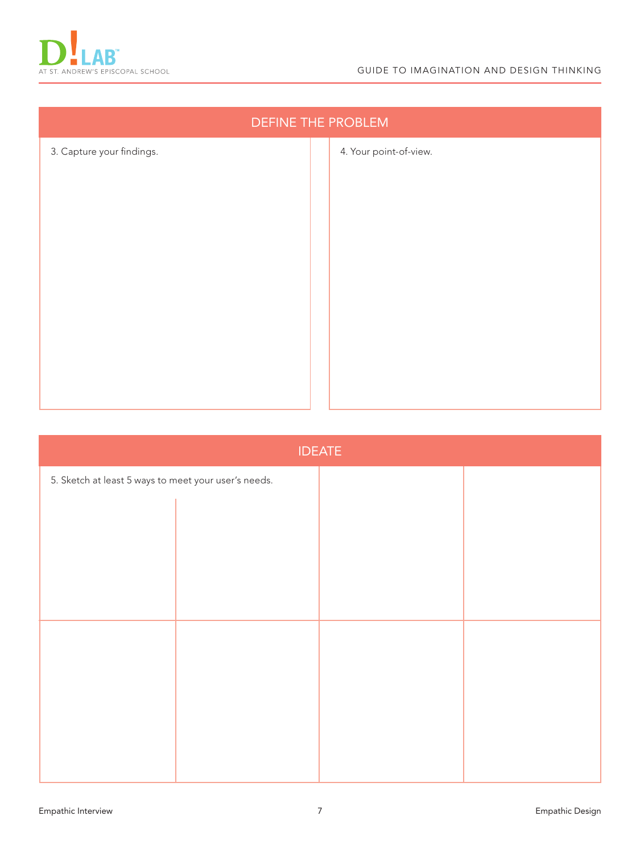

| <b>DEFINE THE PROBLEM</b> |  |                        |  |  |  |
|---------------------------|--|------------------------|--|--|--|
| 3. Capture your findings. |  | 4. Your point-of-view. |  |  |  |
|                           |  |                        |  |  |  |
|                           |  |                        |  |  |  |
|                           |  |                        |  |  |  |
|                           |  |                        |  |  |  |
|                           |  |                        |  |  |  |
|                           |  |                        |  |  |  |
|                           |  |                        |  |  |  |
|                           |  |                        |  |  |  |
|                           |  |                        |  |  |  |

| <b>IDEATE</b>                                        |  |  |  |  |  |  |
|------------------------------------------------------|--|--|--|--|--|--|
| 5. Sketch at least 5 ways to meet your user's needs. |  |  |  |  |  |  |
|                                                      |  |  |  |  |  |  |
|                                                      |  |  |  |  |  |  |
|                                                      |  |  |  |  |  |  |
|                                                      |  |  |  |  |  |  |
|                                                      |  |  |  |  |  |  |
|                                                      |  |  |  |  |  |  |
|                                                      |  |  |  |  |  |  |
|                                                      |  |  |  |  |  |  |
|                                                      |  |  |  |  |  |  |
|                                                      |  |  |  |  |  |  |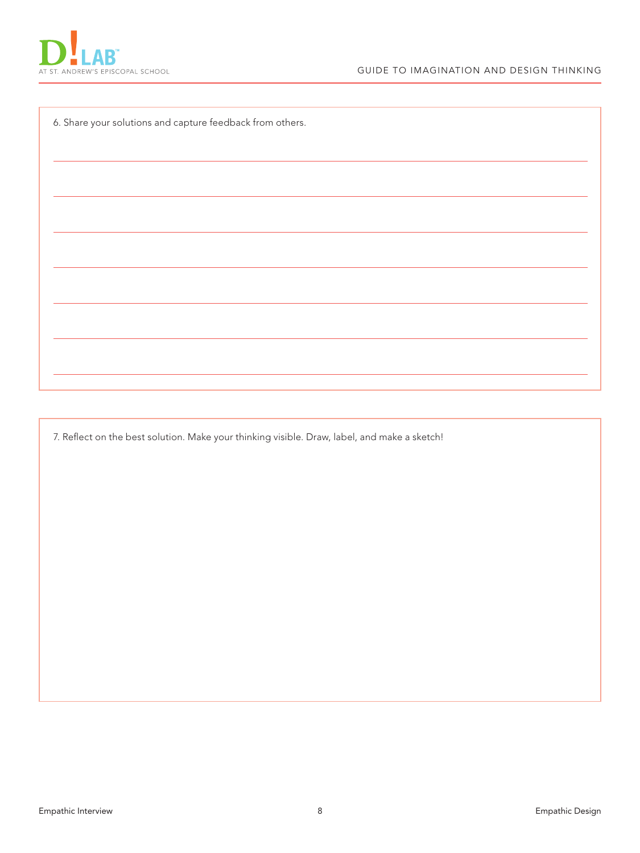

6. Share your solutions and capture feedback from others.

7. Reflect on the best solution. Make your thinking visible. Draw, label, and make a sketch!